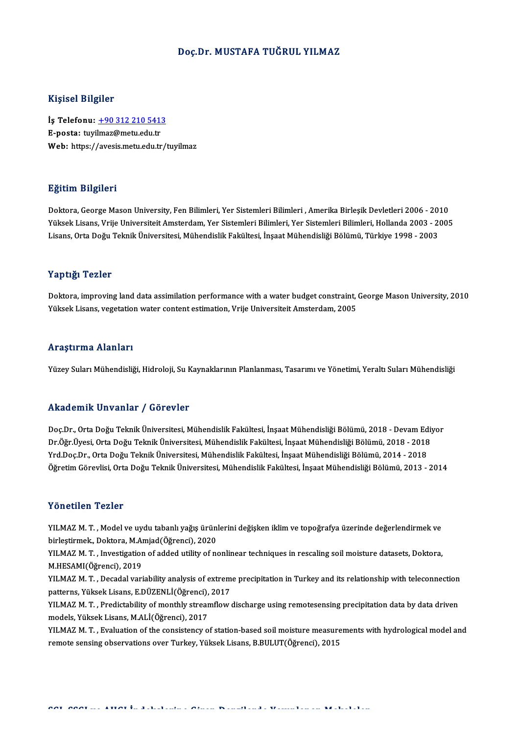### Doç.Dr.MUSTAFA TUĞRUL YILMAZ

### Kişisel Bilgiler

Kişisel Bilgiler<br>İş Telefonu: <u>+90 312 210 5413</u><br>E nosta: turilmaz@matu adutr 11131001 D1151101<br>İş Telefonu: <u>+90 312 210 541:</u><br>E-posta: tuyi[lmaz@metu.edu.tr](tel:+90 312 210 5413) E-posta: tuyilmaz@metu.edu.tr<br>Web: https://avesis.metu.edu.tr/tuyilmaz

### Eğitim Bilgileri

Doktora, George Mason University, Fen Bilimleri, Yer Sistemleri Bilimleri , Amerika Birlesik Devletleri 2006 - 2010 25.<br>1998- Doktora, George Mason University, Fen Bilimleri, Yer Sistemleri Bilimleri , Amerika Birleşik Devletleri<br>Yüksek Lisans, Vrije Universiteit Amsterdam, Yer Sistemleri Bilimleri, Yer Sistemleri Bilimleri, Hollanda 20 Doktora, George Mason University, Fen Bilimleri, Yer Sistemleri Bilimleri , Amerika Birleşik Devletleri 2006 - 20<br>Yüksek Lisans, Vrije Universiteit Amsterdam, Yer Sistemleri Bilimleri, Yer Sistemleri Bilimleri, Hollanda 20 Lisans, Orta Doğu Teknik Üniversitesi, Mühendislik Fakültesi, İnşaat Mühendisliği Bölümü, Türkiye 1998 - 2003<br>Yaptığı Tezler

Doktora, improving land data assimilation performance with a water budget constraint, George Mason University, 2010 Yüksek Lisans, vegetation water content estimation, Vrije Universiteit Amsterdam, 2005

### Araştırma Alanları

Yüzey Suları Mühendisliği, Hidroloji, Su Kaynaklarının Planlanması, Tasarımı ve Yönetimi, Yeraltı Suları Mühendisliği

### Akademik Unvanlar / Görevler

Akademik Unvanlar / Görevler<br>Doç.Dr., Orta Doğu Teknik Üniversitesi, Mühendislik Fakültesi, İnşaat Mühendisliği Bölümü, 2018 - Devam Ediyor<br>Dr.Öğr Üvesi, Orta Doğu Teknik Üniversitesi, Mühendislik Fakültesi, İnsaat Mühendi rındu olirin "Əli vuridi" 7 "dör ev içi"<br>Doç.Dr., Orta Doğu Teknik Üniversitesi, Mühendislik Fakültesi, İnşaat Mühendisliği Bölümü, 2018 - Devam Ediy<br>Vrd Doo Dr., Orta Doğu Teknik Üniversitesi, Mühendislik Fakültesi, İnşaa Doç.Dr., Orta Doğu Teknik Üniversitesi, Mühendislik Fakültesi, İnşaat Mühendisliği Bölümü, 2018 - Devam Ed<br>Dr.Öğr.Üyesi, Orta Doğu Teknik Üniversitesi, Mühendislik Fakültesi, İnşaat Mühendisliği Bölümü, 2018 - 2018<br>Yrd.Doç Dr.Öğr.Üyesi, Orta Doğu Teknik Üniversitesi, Mühendislik Fakültesi, İnşaat Mühendisliği Bölümü, 2018 - 2018<br>Yrd.Doç.Dr., Orta Doğu Teknik Üniversitesi, Mühendislik Fakültesi, İnşaat Mühendisliği Bölümü, 2014 - 2018<br>Öğretim

### Yönetilen Tezler

Yö**netilen Tezler**<br>YILMAZ M. T. , Model ve uydu tabanlı yağış ürünlerini değişken iklim ve topoğrafya üzerinde değerlendirmek ve<br>hirlestirmek, Dektera M Amiad(Öğrensi), 2020 1 Onosnon-1 Onos<br>1988 YILMAZ M. T. , Model ve uydu tabanlı yağış ürün<br>birleştirmek., Doktora, M.Amjad(Öğrenci), 2020<br>YU MAZ M. T. , Investisation of added utility of n birleştirmek., Doktora, M.Amjad(Öğrenci), 2020<br>YILMAZ M. T. , Investigation of added utility of nonlinear techniques in rescaling soil moisture datasets, Doktora,

M.HESAMI(Öğrenci),2019 YILMAZ M. T. , Investigation of added utility of nonlinear techniques in rescaling soil moisture datasets, Doktora,<br>M.HESAMI(Öğrenci), 2019<br>YILMAZ M. T. , Decadal variability analysis of extreme precipitation in Turkey and

M.HESAMI(Öğrenci), 2019<br>YILMAZ M. T. , Decadal variability analysis of extrem<br>patterns, Yüksek Lisans, E.DÜZENLİ(Öğrenci), 2017<br>YU MAZ M. T. , Predistability of monthly streamflow YILMAZ M. T. , Decadal variability analysis of extreme precipitation in Turkey and its relationship with teleconnection<br>patterns, Yüksek Lisans, E.DÜZENLİ(Öğrenci), 2017<br>YILMAZ M. T. , Predictability of monthly streamflow

patterns, Yüksek Lisans, E.DÜZENLİ(Öğrenci),<br>YILMAZ M. T. , Predictability of monthly strear<br>models, Yüksek Lisans, M.ALİ(Öğrenci), 2017<br>YU MAZ M. T. Evaluation of the consistency o YILMAZ M. T. , Predictability of monthly streamflow discharge using remotesensing precipitation data by data driven<br>models, Yüksek Lisans, M.ALİ(Öğrenci), 2017<br>YILMAZ M. T. , Evaluation of the consistency of station-based

models, Yüksek Lisans, M.ALİ(Öğrenci), 2017<br>YILMAZ M. T. , Evaluation of the consistency of station-based soil moisture measurements with hydrological model and<br>remote sensing observations over Turkey, Yüksek Lisans, B.BUL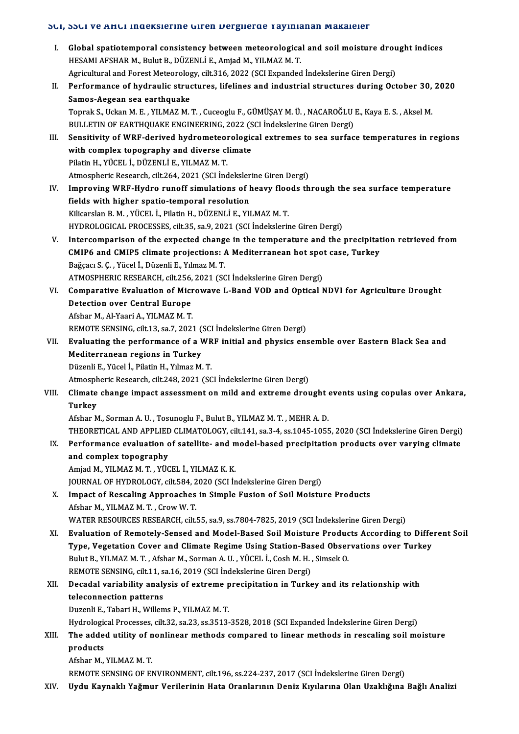# SCI, SSCI ve AHCI İndekslerine Giren Dergilerde Yayınlanan Makaleler<br>.

|       | SUI, SSUI Ve AHUI Indeksierine Giren Dergilerde Yayınlanan Makaleler                                                                                              |
|-------|-------------------------------------------------------------------------------------------------------------------------------------------------------------------|
| I.    | Global spatiotemporal consistency between meteorological and soil moisture drought indices                                                                        |
|       | HESAMI AFSHAR M., Bulut B., DÜZENLİ E., Amjad M., YILMAZ M. T.                                                                                                    |
|       | Agricultural and Forest Meteorology, cilt.316, 2022 (SCI Expanded İndekslerine Giren Dergi)                                                                       |
| Н.    | Performance of hydraulic structures, lifelines and industrial structures during October 30, 2020                                                                  |
|       | Samos-Aegean sea earthquake                                                                                                                                       |
|       | Toprak S., Uckan M. E., YILMAZ M. T., Cuceoglu F., GÜMÜŞAY M. Ü., NACAROĞLU E., Kaya E. S., Aksel M.                                                              |
|       | BULLETIN OF EARTHQUAKE ENGINEERING, 2022 (SCI İndekslerine Giren Dergi)                                                                                           |
| Ш.    | Sensitivity of WRF-derived hydrometeorological extremes to sea surface temperatures in regions                                                                    |
|       | with complex topography and diverse climate                                                                                                                       |
|       | Pilatin H., YÜCEL İ., DÜZENLİ E., YILMAZ M.T.                                                                                                                     |
|       | Atmospheric Research, cilt.264, 2021 (SCI İndekslerine Giren Dergi)                                                                                               |
| IV.   | Improving WRF-Hydro runoff simulations of heavy floods through the sea surface temperature                                                                        |
|       | fields with higher spatio-temporal resolution                                                                                                                     |
|       | Kilicarslan B. M., YÜCEL İ., Pilatin H., DÜZENLİ E., YILMAZ M. T.                                                                                                 |
|       | HYDROLOGICAL PROCESSES, cilt.35, sa.9, 2021 (SCI İndekslerine Giren Dergi)                                                                                        |
| V.    | Intercomparison of the expected change in the temperature and the precipitation retrieved from                                                                    |
|       | CMIP6 and CMIP5 climate projections: A Mediterranean hot spot case, Turkey                                                                                        |
|       | Bağçacı S. Ç., Yücel İ., Düzenli E., Yılmaz M. T.                                                                                                                 |
|       | ATMOSPHERIC RESEARCH, cilt.256, 2021 (SCI İndekslerine Giren Dergi)                                                                                               |
| VI.   | Comparative Evaluation of Microwave L-Band VOD and Optical NDVI for Agriculture Drought                                                                           |
|       | <b>Detection over Central Europe</b>                                                                                                                              |
|       | Afshar M., Al-Yaari A., YILMAZ M. T.                                                                                                                              |
|       | REMOTE SENSING, cilt.13, sa.7, 2021 (SCI Indekslerine Giren Dergi)<br>Evaluating the performance of a WRF initial and physics ensemble over Eastern Black Sea and |
| VII.  | Mediterranean regions in Turkey                                                                                                                                   |
|       | Düzenli E., Yücel İ., Pilatin H., Yılmaz M. T.                                                                                                                    |
|       | Atmospheric Research, cilt.248, 2021 (SCI İndekslerine Giren Dergi)                                                                                               |
| VIII. | Climate change impact assessment on mild and extreme drought events using copulas over Ankara,                                                                    |
|       | Turkev                                                                                                                                                            |
|       | Afshar M., Sorman A. U., Tosunoglu F., Bulut B., YILMAZ M. T., MEHR A. D.                                                                                         |
|       | THEORETICAL AND APPLIED CLIMATOLOGY, cilt.141, sa.3-4, ss.1045-1055, 2020 (SCI İndekslerine Giren Dergi)                                                          |
| IX.   | Performance evaluation of satellite- and model-based precipitation products over varying climate                                                                  |
|       | and complex topography                                                                                                                                            |
|       | Amjad M., YILMAZ M. T., YÜCEL İ., YILMAZ K. K.                                                                                                                    |
|       | JOURNAL OF HYDROLOGY, cilt.584, 2020 (SCI İndekslerine Giren Dergi)                                                                                               |
| Х.    | Impact of Rescaling Approaches in Simple Fusion of Soil Moisture Products                                                                                         |
|       | Afshar M., YILMAZ M. T., Crow W. T.                                                                                                                               |
|       | WATER RESOURCES RESEARCH, cilt.55, sa.9, ss.7804-7825, 2019 (SCI İndekslerine Giren Dergi)                                                                        |
| XI.   | Evaluation of Remotely-Sensed and Model-Based Soil Moisture Products According to Different Soil                                                                  |
|       | Type, Vegetation Cover and Climate Regime Using Station-Based Observations over Turkey                                                                            |
|       | Bulut B., YILMAZ M. T., Afshar M., Sorman A. U., YÜCEL İ., Cosh M. H., Simsek O.                                                                                  |
|       | REMOTE SENSING, cilt.11, sa.16, 2019 (SCI İndekslerine Giren Dergi)                                                                                               |
| XII.  | Decadal variability analysis of extreme precipitation in Turkey and its relationship with                                                                         |
|       | teleconnection patterns                                                                                                                                           |
|       | Duzenli E., Tabari H., Willems P., YILMAZ M.T.                                                                                                                    |
|       | Hydrological Processes, cilt.32, sa.23, ss.3513-3528, 2018 (SCI Expanded İndekslerine Giren Dergi)                                                                |
| XIII. | The added utility of nonlinear methods compared to linear methods in rescaling soil moisture                                                                      |
|       | products                                                                                                                                                          |
|       | Afshar M., YILMAZ M.T.                                                                                                                                            |
|       | REMOTE SENSING OF ENVIRONMENT, cilt.196, ss.224-237, 2017 (SCI İndekslerine Giren Dergi)                                                                          |
| XIV.  | Uydu Kaynaklı Yağmur Verilerinin Hata Oranlarının Deniz Kıyılarına Olan Uzaklığına Bağlı Analizi                                                                  |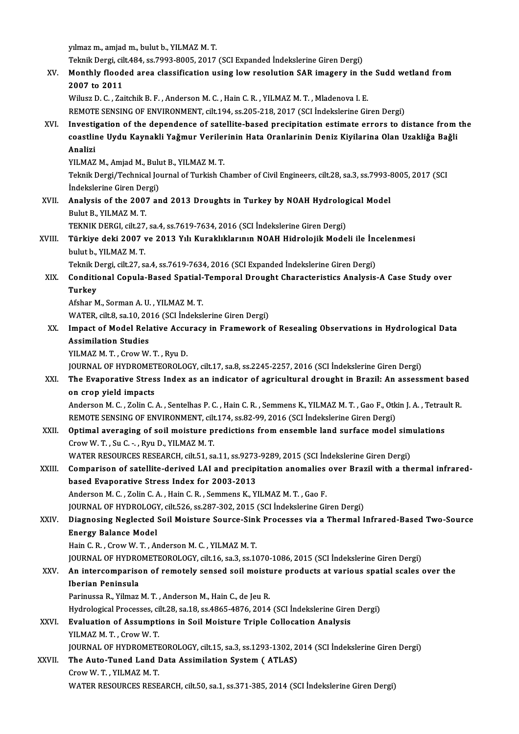yılmaz m., amjad m., bulut b., YILMAZM.T.

yılmaz m., amjad m., bulut b., YILMAZ M. T.<br>Teknik Dergi, cilt.484, ss.7993-8005, 2017 (SCI Expanded İndekslerine Giren Dergi)<br>Monthly flooded area elessifisation using low resolution SAR imagery in tl

XV. Monthly flooded area classification using lowresolution SAR imagery in the Sudd wetland from Teknik Dergi, cil<br>Monthly flood<br>2007 to 2011<br>Wilver D.C. Zai

Wilusz D. C., Zaitchik B. F., Anderson M. C., Hain C. R., YILMAZ M. T., Mladenova I. E.

REMOTE SENSING OF ENVIRONMENT, cilt.194, ss.205-218, 2017 (SCI İndekslerine Giren Dergi)

Wilusz D. C., Zaitchik B. F., Anderson M. C., Hain C. R., YILMAZ M. T., Mladenova I. E.<br>REMOTE SENSING OF ENVIRONMENT, cilt.194, ss.205-218, 2017 (SCI İndekslerine Giren Dergi)<br>XVI. Investigation of the dependence of satel REMOTE SENSING OF ENVIRONMENT, cilt.194, ss.205-218, 2017 (SCI İndekslerine Giren Dergi)<br>Investigation of the dependence of satellite-based precipitation estimate errors to distance from<br>coastline Uydu Kaynakli Yaǧmur Veri Investi<br>coastlii<br>Analizi<br><sup>VII MA7</sup> coastline Uydu Kaynakli Yağmur Verilerinin Hata Oranlarinin Deniz Kiyilarina Olan Uzakliğa Bağli<br>Analizi

YILMAZ M., Amjad M., Bulut B., YILMAZ M.T.

Teknik Dergi/Technical Journal of Turkish Chamber of Civil Engineers, cilt.28, sa.3, ss.7993-8005, 2017 (SCI Indekslerine Giren Dergi) Teknik Dergi/Technical Journal of Turkish Chamber of Civil Engineers, cilt.28, sa.3, ss.7993-8<br>Indekslerine Giren Dergi)<br>XVII. Analysis of the 2007 and 2013 Droughts in Turkey by NOAH Hydrological Model

# Indekslerine Giren Der<br>**Analysis of the 2007**<br>Bulut B., YILMAZ M. T.<br>TEKNIK DEPCL silt 27 Analysis of the 2007 and 2013 Droughts in Turkey by NOAH Hydrolog<br>Bulut B., YILMAZ M. T.<br>TEKNIK DERGI, cilt.27, sa.4, ss.7619-7634, 2016 (SCI İndekslerine Giren Dergi)<br>Türkiye deki 2007 ve 2012 V.l. Kunaklıklarının NOAH Hi

# Bulut B., YILMAZ M. T.<br>TEKNIK DERGI, cilt.27, sa.4, ss.7619-7634, 2016 (SCI İndekslerine Giren Dergi)<br>XVIII. Türkiye deki 2007 ve 2013 Yılı Kuraklıklarının NOAH Hidrolojik Modeli ile İncelenmesi<br>hulut b. XII MAZ M. T. TEKNIK DERGI, cilt.27, sa.4, ss.7619-7634, 2016 (SCI İndekslerine Giren Dergi)<br>Türkiye deki 2007 ve 2013 Yılı Kuraklıklarının NOAH Hidrolojik Modeli ile İn<br>bulut b., YILMAZ M. T.<br>Teknik Dergi, cilt.27, sa.4, ss.7619-7634, Türkiye deki 2007 ve 2013 Yılı Kuraklıklarının NOAH Hidrolojik Modeli ile İnd<br>bulut b., YILMAZ M. T.<br>Teknik Dergi, cilt.27, sa.4, ss.7619-7634, 2016 (SCI Expanded İndekslerine Giren Dergi)<br>Conditional Canula Based Spatial

## bulut b., YILMAZ M. T.<br>Teknik Dergi, cilt.27, sa.4, ss.7619-7634, 2016 (SCI Expanded İndekslerine Giren Dergi)<br>XIX. Conditional Copula-Based Spatial-Temporal Drought Characteristics Analysis-A Case Study over<br>Turkey Teknik D<br>Conditie<br>Turkey<br>Afshar M Conditional Copula-Based Spatial-<br>Turkey<br>Afshar M., Sorman A.U. , YILMAZ M. T.<br>WATER silt 9, sa 10, 2016 (SCL Indokel Turkey<br>Afshar M., Sorman A. U. , YILMAZ M. T.<br>WATER, cilt.8, sa.10, 2016 (SCI İndekslerine Giren Dergi)

## Afshar M., Sorman A. U. , YILMAZ M. T.<br>WATER, cilt.8, sa.10, 2016 (SCI İndekslerine Giren Dergi)<br>XX. Impact of Model Relative Accuracy in Framework of Resealing Observations in Hydrological Data<br>Assimilation Studies WATER, cilt.8, sa.10, 20<br>Impact of Model Rela<br>Assimilation Studies<br>YUMAZM T. CrowW Impact of Model Relative Accu<br>Assimilation Studies<br>YILMAZ M. T. , Crow W. T. , Ryu D.<br>JOUPMAL OF HYDROMETEOROLOG Assimilation Studies<br>YILMAZ M. T. , Crow W. T. , Ryu D.<br>JOURNAL OF HYDROMETEOROLOGY, cilt.17, sa.8, ss.2245-2257, 2016 (SCI İndekslerine Giren Dergi)

# YILMAZ M. T. , Crow W. T. , Ryu D.<br>JOURNAL OF HYDROMETEOROLOGY, cilt.17, sa.8, ss.2245-2257, 2016 (SCI İndekslerine Giren Dergi)<br>XXI. The Evaporative Stress Index as an indicator of agricultural drought in Brazil: An a JOURNAL OF HYDROMET<br>The Evaporative Stres<br>on crop yield impacts The Evaporative Stress Index as an indicator of agricultural drought in Brazil: An assessment base<br>on crop yield impacts<br>Anderson M. C. , Zolin C. A. , Sentelhas P. C. , Hain C. R. , Semmens K., YILMAZ M. T. , Gao F., Otki

on crop yield impacts<br>Anderson M. C. , Zolin C. A. , Sentelhas P. C. , Hain C. R. , Semmens K., YILMAZ M. T. , Gao F., Otk<br>REMOTE SENSING OF ENVIRONMENT, cilt.174, ss.82-99, 2016 (SCI İndekslerine Giren Dergi)<br>Ontimal aven Anderson M. C., Zolin C. A., Sentelhas P. C., Hain C. R., Semmens K., YILMAZ M. T., Gao F., Otkin J. A., Tetrau<br>REMOTE SENSING OF ENVIRONMENT, cilt.174, ss.82-99, 2016 (SCI indekslerine Giren Dergi)<br>XXII. Optimal averaging

# REMOTE SENSING OF ENVIRONMENT, cilt.174, ss.82-99, 2016 (SCI indekslerine Giren Dergi)<br>Optimal averaging of soil moisture predictions from ensemble land surface model sim<br>Crow W. T., Su C. -., Ryu D., YILMAZ M. T.<br>WATER RE Optimal averaging of soil moisture predictions from ensemble land surface model simulations

## Crow W. T. , Su C. - , Ryu D., YILMAZ M. T.<br>WATER RESOURCES RESEARCH, cilt.51, sa.11, ss.9273-9289, 2015 (SCI Indekslerine Giren Dergi)<br>XXIII. Comparison of satellite-derived LAI and precipitation anomalies over Brazil wit WATER RESOURCES RESEARCH, cilt.51, sa.11, ss.9273<br>Comparison of satellite-derived LAI and precipi<br>based Evaporative Stress Index for 2003-2013<br>Anderson M.C. Zelin G.A., Hain G.B., Semmans K. V. Comparison of satellite-derived LAI and precipitation anomalies<br>based Evaporative Stress Index for 2003-2013<br>Anderson M. C. , Zolin C. A. , Hain C. R. , Semmens K., YILMAZ M. T. , Gao F.<br>JOUPMAL OF HYDROLOCY si<sup>1</sup>t 526, 82 based Evaporative Stress Index for 2003-2013<br>Anderson M. C. , Zolin C. A. , Hain C. R. , Semmens K., YILMAZ M. T. , Gao F.<br>JOURNAL OF HYDROLOGY, cilt.526, ss.287-302, 2015 (SCI İndekslerine Giren Dergi)

## Anderson M. C. , Zolin C. A. , Hain C. R. , Semmens K., YILMAZ M. T. , Gao F.<br>JOURNAL OF HYDROLOGY, cilt.526, ss.287-302, 2015 (SCI İndekslerine Giren Dergi)<br>XXIV. Diagnosing Neglected Soil Moisture Source-Sink Process **JOURNAL OF HYDROLOGY**<br>Diagnosing Neglected<br>Energy Balance Model<br>Hain C. B., Crow W. T., A. Diagnosing Neglected Soil Moisture Source-Sinl<br>Energy Balance Model<br>Hain C. R. , Crow W. T. , Anderson M. C. , YILMAZ M. T.<br>JOUPMAL OF HYDROMETEOPOLOCY , silt 16, sa 3, sa 10 Energy Balance Model<br>Hain C. R. , Crow W. T. , Anderson M. C. , YILMAZ M. T.<br>JOURNAL OF HYDROMETEOROLOGY, cilt.16, sa.3, ss.1070-1086, 2015 (SCI İndekslerine Giren Dergi)<br>An intersemperisen of remetely sensed seil mejsture

# Hain C. R. , Crow W. T. , Anderson M. C. , YILMAZ M. T.<br>JOURNAL OF HYDROMETEOROLOGY, cilt.16, sa.3, ss.1070-1086, 2015 (SCI Indekslerine Giren Dergi)<br>XXV. An intercomparison of remotely sensed soil moisture products at var JOURNAL OF HYDRO<br>An intercompariso<br>Iberian Peninsula<br>Perinussa P. Vilmar An intercomparison of remotely sensed soil moist<mark><br>Iberian Peninsula</mark><br>Parinussa R., Yilmaz M.T., Anderson M., Hain C., de Jeu R.<br>Hydnologiael Processos, silt 28, se 18, se 1865, 1976, 2014

Iberian Peninsula<br>Parinussa R., Yilmaz M. T. , Anderson M., Hain C., de Jeu R.<br>Hydrological Processes, cilt.28, sa.18, ss.4865-4876, 2014 (SCI İndekslerine Giren Dergi)

### XXVI. Evaluation of Assumptions in Soil Moisture Triple Collocation Analysis YILMAZ M.T., Crow W.T. Evaluation of Assumptions in Soil Moisture Triple Collocation Analysis<br>YILMAZ M. T., Crow W. T.<br>JOURNAL OF HYDROMETEOROLOGY, cilt.15, sa.3, ss.1293-1302, 2014 (SCI İndekslerine Giren Dergi)<br>The Aute Tuned Land Date Assimil YILMAZ M. T., Crow W. T.<br>JOURNAL OF HYDROMETEOROLOGY, cilt.15, sa.3, ss.1293-1302, 2<br>XXVII. The Auto-Tuned Land Data Assimilation System ( ATLAS)

**JOURNAL OF HYDROMETH<br>The Auto-Tuned Land I<br>Crow W.T., YILMAZ M.T.<br>WATED DESOUDGES DESE** The Auto-Tuned Land Data Assimilation System ( ATLAS)<br>Crow W. T. , YILMAZ M. T.<br>WATER RESOURCES RESEARCH, cilt.50, sa.1, ss.371-385, 2014 (SCI İndekslerine Giren Dergi)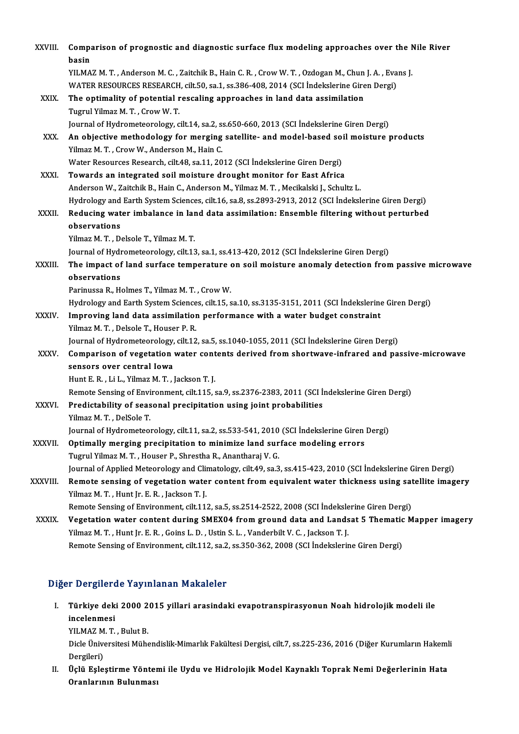| XXVIII.      | Comparison of prognostic and diagnostic surface flux modeling approaches over the Nile River<br>basin          |
|--------------|----------------------------------------------------------------------------------------------------------------|
|              | YILMAZ M. T., Anderson M. C., Zaitchik B., Hain C. R., Crow W. T., Ozdogan M., Chun J. A., Evans J.            |
|              | WATER RESOURCES RESEARCH, cilt.50, sa.1, ss.386-408, 2014 (SCI Indekslerine Giren Dergi)                       |
| XXIX.        | The optimality of potential rescaling approaches in land data assimilation                                     |
|              | Tugrul Yilmaz M. T., Crow W. T.                                                                                |
|              | Journal of Hydrometeorology, cilt.14, sa.2, ss.650-660, 2013 (SCI Indekslerine Giren Dergi)                    |
| XXX.         | An objective methodology for merging satellite- and model-based soil moisture products                         |
|              | Yilmaz M. T., Crow W., Anderson M., Hain C.                                                                    |
|              | Water Resources Research, cilt.48, sa.11, 2012 (SCI İndekslerine Giren Dergi)                                  |
| XXXI.        | Towards an integrated soil moisture drought monitor for East Africa                                            |
|              | Anderson W., Zaitchik B., Hain C., Anderson M., Yilmaz M. T., Mecikalski J., Schultz L.                        |
|              | Hydrology and Earth System Sciences, cilt.16, sa.8, ss.2893-2913, 2012 (SCI İndekslerine Giren Dergi)          |
| XXXII.       | Reducing water imbalance in land data assimilation: Ensemble filtering without perturbed                       |
|              | observations                                                                                                   |
|              | Yilmaz M. T., Delsole T., Yilmaz M. T.                                                                         |
|              | Journal of Hydrometeorology, cilt 13, sa 1, ss 413-420, 2012 (SCI Indekslerine Giren Dergi)                    |
| XXXIII.      | The impact of land surface temperature on soil moisture anomaly detection from passive microwave               |
|              | observations                                                                                                   |
|              | Parinussa R., Holmes T., Yilmaz M. T., Crow W.                                                                 |
|              | Hydrology and Earth System Sciences, cilt.15, sa.10, ss.3135-3151, 2011 (SCI Indekslerine Giren Dergi)         |
| XXXIV.       | Improving land data assimilation performance with a water budget constraint                                    |
|              | Yilmaz M. T., Delsole T., Houser P. R.                                                                         |
|              | Journal of Hydrometeorology, cilt.12, sa.5, ss.1040-1055, 2011 (SCI İndekslerine Giren Dergi)                  |
| <b>XXXV</b>  | Comparison of vegetation water contents derived from shortwave-infrared and passive-microwave                  |
|              | sensors over central Iowa                                                                                      |
|              | Hunt E. R., Li L., Yilmaz M. T., Jackson T. J.                                                                 |
|              | Remote Sensing of Environment, cilt.115, sa.9, ss.2376-2383, 2011 (SCI İndekslerine Giren Dergi)               |
| XXXVI.       | Predictability of seasonal precipitation using joint probabilities                                             |
|              | Yilmaz M. T., DelSole T.                                                                                       |
|              | Journal of Hydrometeorology, cilt.11, sa.2, ss.533-541, 2010 (SCI Indekslerine Giren Dergi)                    |
| XXXVII.      | Optimally merging precipitation to minimize land surface modeling errors                                       |
|              | Tugrul Yilmaz M. T., Houser P., Shrestha R., Anantharaj V. G.                                                  |
|              | Journal of Applied Meteorology and Climatology, cilt.49, sa.3, ss.415-423, 2010 (SCI Indekslerine Giren Dergi) |
| XXXVIII.     | Remote sensing of vegetation water content from equivalent water thickness using satellite imagery             |
|              | Yilmaz M. T., Hunt Jr. E. R., Jackson T. J.                                                                    |
|              | Remote Sensing of Environment, cilt.112, sa.5, ss.2514-2522, 2008 (SCI İndekslerine Giren Dergi)               |
| <b>XXXIX</b> | Vegetation water content during SMEX04 from ground data and Landsat 5 Thematic Mapper imagery                  |
|              | Yilmaz M. T., Hunt Jr. E. R., Goins L. D., Ustin S. L., Vanderbilt V. C., Jackson T. J.                        |
|              | Remote Sensing of Environment, cilt.112, sa.2, ss.350-362, 2008 (SCI Indekslerine Giren Dergi)                 |

### Diğer Dergilerde Yayınlanan Makaleler

iğer Dergilerde Yayınlanan Makaleler<br>I. Türkiye deki 2000 2015 yillari arasindaki evapotranspirasyonun Noah hidrolojik modeli ile<br>inselenmesi r Dergnere<br>Türkiye dek<br>incelenmesi<br><sup>VII MAZ M T</sup> Türkiye deki 2000 2<br>incelenmesi<br>YILMAZ M. T. , Bulut B.<br>Diele Üniversitesi Müha

incelenmesi<br>YILMAZ M. T. , Bulut B.<br>Dicle Üniversitesi Mühendislik-Mimarlık Fakültesi Dergisi, cilt.7, ss.225-236, 2016 (Diğer Kurumların Hakemli YILMAZ M<br>Dicle Ünive<br>Dergileri)<br>Üslü Fala Dicle Üniversitesi Mühendislik-Mimarlık Fakültesi Dergisi, cilt.7, ss.225-236, 2016 (Diğer Kurumların Hakeml<br>Dergileri)<br>II. Üçlü Eşleştirme Yöntemi ile Uydu ve Hidrolojik Model Kaynaklı Toprak Nemi Değerlerinin Hata<br>Oranla

Dergileri)<br>Üçlü Eşleştirme Yönter<br>Oranlarının Bulunması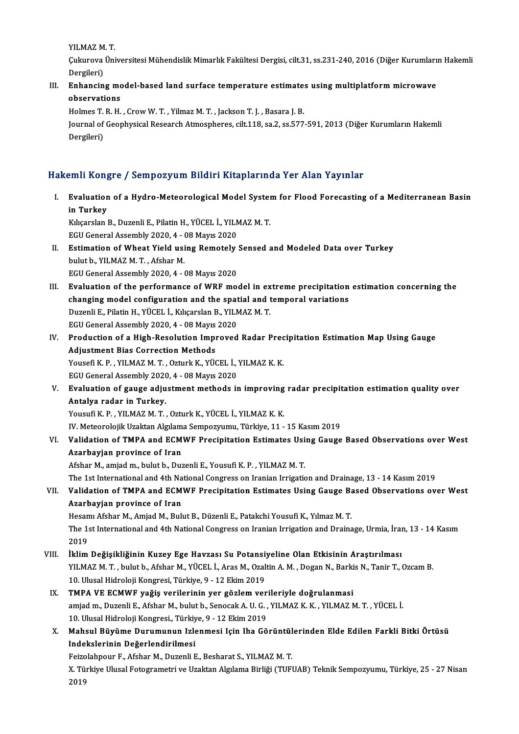YILMAZMT.

YILMAZ M. T.<br>Çukurova Üniversitesi Mühendislik Mimarlık Fakültesi Dergisi, cilt.31, ss.231-240, 2016 (Diğer Kurumların Hakemli<br>Persileri) YILMAZ M<br>Çukurova<br>Dergileri)<br>Enhangin Cukurova Üniversitesi Mühendislik Mimarlık Fakültesi Dergisi, cilt.31, ss.231-240, 2016 (Diğer Kurumları<br>Dergileri)<br>III. Enhancing model-based land surface temperature estimates using multiplatform microwave<br>Absorvations

Dergileri)<br>Enhancing mo<br>observations<br>Holmes T P H Enhancing model-based land surface temperature estimate:<br>observations<br>Holmes T. R. H. , Crow W. T. , Yilmaz M. T. , Jackson T. J. , Basara J. B.<br>Journal of Coophysical Basarch Atmospheres, silt 119, sa 2, ss 577

observations<br>Holmes T. R. H. , Crow W. T. , Yilmaz M. T. , Jackson T. J. , Basara J. B.<br>Journal of Geophysical Research Atmospheres, cilt.118, sa.2, ss.577-591, 2013 (Diğer Kurumların Hakemli<br>Dergileri) Holmes T.<br>Journal of<br>Dergileri)

# Dergileri)<br>Hakemli Kongre / Sempozyum Bildiri Kitaplarında Yer Alan Yayınlar

akemli Kongre / Sempozyum Bildiri Kitaplarında Yer Alan Yayınlar<br>I. Evaluation of a Hydro-Meteorological Model System for Flood Forecasting of a Mediterranean Basin<br>in Turkey inn Rong<br>Evaluation<br>in Turkey<br>Kikonalan l Evaluation of a Hydro-Meteorological Model System<br>in Turkey<br>Kılıçarslan B., Duzenli E., Pilatin H., YÜCEL İ., YILMAZ M. T.<br>ECU Canaral Assembly 2020 4 - 08 Mayıs 2020

in Turkey<br>Kılıçarslan B., Duzenli E., Pilatin H., YÜCEL İ., YILMAZ M. T.<br>EGU General Assembly 2020, 4 - 08 Mayıs 2020

- Kılıçarslan B., Duzenli E., Pilatin H., YÜCEL İ., YILMAZ M. T.<br>EGU General Assembly 2020, 4 08 Mayıs 2020<br>II. Estimation of Wheat Yield using Remotely Sensed and Modeled Data over Turkey<br>bulut b. YILMAZ M. T. Afshan M. EGU General Assembly 2020, 4 - (<br>Estimation of Wheat Yield usi<br>bulut b., YILMAZ M. T. , Afshar M.<br>ECU Ceneral Assembly 2020 4 - 4 Estimation of Wheat Yield using Remotely<br>bulut b., YILMAZ M. T. , Afshar M.<br>EGU General Assembly 2020, 4 - 08 Mayıs 2020<br>Evalustion of the norformange of WBE me
- bulut b., YILMAZ M. T. , Afshar M.<br>EGU General Assembly 2020, 4 08 Mayıs 2020<br>III. Evaluation of the performance of WRF model in extreme precipitation estimation concerning the<br>changing model configuration and the spatia EGU General Assembly 2020, 4 - 08 Mayıs 2020<br>Evaluation of the performance of WRF model in extreme precipitation<br>changing model configuration and the spatial and temporal variations<br>Purenli E. Bilatin H. VÜCEL İ. Kılısarsl Evaluation of the performance of WRF model in ex<br>changing model configuration and the spatial and t<br>Duzenli E., Pilatin H., YÜCEL İ., Kılıçarslan B., YILMAZ M. T.<br>ECU Canaral Assembly 2020 4 - 08 Mayıs 2020 changing model configuration and the spatial and temporal variations<br>Duzenli E., Pilatin H., YÜCEL İ., Kılıçarslan B., YILMAZ M. T.<br>EGU General Assembly 2020, 4 - 08 Mayıs 2020 Duzenli E., Pilatin H., YÜCEL İ., Kılıçarslan B., YILMAZ M. T.<br>EGU General Assembly 2020, 4 - 08 Mayıs 2020<br>IV. Production of a High-Resolution Improved Radar Precipitation Estimation Map Using Gauge
- EGU General Assembly 2020, 4 08 Mayıs<br>Production of a High-Resolution Impi<br>Adjustment Bias Correction Methods<br>Yousefi K. B., XII MAZ M.T., Orturk K., XÜC Production of a High-Resolution Improved Radar Prec<br>Adjustment Bias Correction Methods<br>Yousefi K. P. , YILMAZ M. T. , Ozturk K., YÜCEL İ., YILMAZ K. K.<br>ECU Coneral Assembly 2020 .4 . 09 Meyrs 2020 Adjustment Bias Correction Methods<br>Yousefi K. P. , YILMAZ M. T. , Ozturk K., YÜCEL İ., YILMAZ K. K.<br>EGU General Assembly 2020, 4 - 08 Mayıs 2020 Yousefi K. P. , YILMAZ M. T. , Ozturk K., YÜCEL İ., YILMAZ K. K.<br>EGU General Assembly 2020, 4 - 08 Mayıs 2020<br>V. Evaluation of gauge adjustment methods in improving radar precipitation estimation quality over<br>Antalya radar
- EGU General Assembly 2020<br>Evaluation of gauge adju<br>Antalya radar in Turkey.<br>Yousufi K.P., YU MAZ M.T. Antalya radar in Turkey.<br>Yousufi K.P., YILMAZ M.T., Ozturk K., YÜCEL İ., YILMAZ K.K. Antalya radar in Turkey.<br>Yousufi K. P. , YILMAZ M. T. , Ozturk K., YÜCEL İ., YILMAZ K. K.<br>IV. Meteorolojik Uzaktan Algılama Sempozyumu, Türkiye, 11 - 15 Kasım 2019<br>Velidation of TMPA and ECMWE Presinitation Estimates Heing

VI. Validation of TMPA and ECMWF Precipitation Estimates Using Gauge Based Observations over West<br>Azarbayjan province of Iran IV. Meteorolojik Uzaktan Algılam<br>Validation of TMPA and ECM<br>Azarbayjan province of Iran Azarbayjan province of Iran<br>Afshar M., amjad m., bulut b., Duzenli E., Yousufi K. P. , YILMAZ M. T.<br>The 1st International and 4th National Congress on Iranian Irrigation and Drainage, 13 - 14 Kasım 2019<br>Validation of TMBA

Afshar M., amjad m., bulut b., Duzenli E., Yousufi K. P., YILMAZ M. T.

# Afshar M., amjad m., bulut b., Duzenli E., Yousufi K. P. , YILMAZ M. T.<br>The 1st International and 4th National Congress on Iranian Irrigation and Drainage, 13 - 14 Kasım 2019<br>VII. Validation of TMPA and ECMWF Precipita The 1st International and 4th Na<br>Validation of TMPA and ECM<br>Azarbayjan province of Iran<br>Hesam Afshar M. Amiad M. Bub Validation of TMPA and ECMWF Precipitation Estimates Using Gauge Ba<br>Azarbayjan province of Iran<br>Hesamı Afshar M., Amjad M., Bulut B., Düzenli E., Patakchi Yousufi K., Yılmaz M. T.<br>The 1st International and 4th National Con

Azarbayjan province of Iran<br>Hesamı Afshar M., Amjad M., Bulut B., Düzenli E., Patakchi Yousufi K., Yılmaz M. T.<br>The 1st International and 4th National Congress on Iranian Irrigation and Drainage, Urmia, İran, 13 - 14 Kasım Hesan<br>The 1:<br>2019<br>iklim The 1st International and 4th National Congress on Iranian Irrigation and Drainage, Urmia, İran 2019<br>2019<br>VIII. İklim Değişikliğinin Kuzey Ege Havzası Su Potansiyeline Olan Etkisinin Araştırılması<br>VII MAZM T. bulut b. Afsh

- 2019<br>İklim Değişikliğinin Kuzey Ege Havzası Su Potansiyeline Olan Etkisinin Araştırılması<br>YILMAZ M.T., bulut b., Afshar M., YÜCEL İ., Aras M., Ozaltin A. M. , Dogan N., Barkis N., Tanir T., Ozcam B.<br>10 Ulusal Hidrolaji Kon İklim Değişikliğinin Kuzey Ege Havzası Su Potansi:<br>YILMAZ M. T. , bulut b., Afshar M., YÜCEL İ., Aras M., Ozal<br>10. Ulusal Hidroloji Kongresi, Türkiye, 9 - 12 Ekim 2019<br>TMBA VE ECMWE veğiş verilerinin ver gözlem yer YILMAZ M. T., bulut b., Afshar M., YÜCEL İ., Aras M., Ozaltin A. M., Dogan N., Barki<br>10. Ulusal Hidroloji Kongresi, Türkiye, 9 - 12 Ekim 2019<br>IX. TMPA VE ECMWF yağiş verilerinin yer gözlem verileriyle doğrulanmasi<br>2000 mia
- 10. Ulusal Hidroloji Kongresi, Türkiye, 9 12 Ekim 2019<br>TMPA VE ECMWF yağiş verilerinin yer gözlem verileriyle doğrulanmasi<br>amjad m., Duzenli E., Afshar M., bulut b., Senocak A. U. G. , YILMAZ K. K. , YILMAZ M. T. , YÜCEL TMPA VE ECMWF yağiş verilerinin yer gözlem ver<br>amjad m., Duzenli E., Afshar M., bulut b., Senocak A. U. G. ,<br>10. Ulusal Hidroloji Kongresi., Türkiye, 9 - 12 Ekim 2019<br>Mahayl Büyüme Durumunun Islanmasi Jein Ibe Gö amjad m., Duzenli E., Afshar M., bulut b., Senocak A. U. G. , YILMAZ K. K. , YILMAZ M. T. , YÜCEL İ.<br>10. Ulusal Hidroloji Kongresi., Türkiye, 9 - 12 Ekim 2019<br>X. Mahsul Büyüme Durumunun Izlenmesi Için Iha Görüntülerinden E
- 10. Ulusal Hidroloji Kongresi, Türkiy<br>Mahsul Büyüme Durumunun Izle<br>Indekslerinin Değerlendirilmesi<br>Feirekhnour E. Afeber M. Durenli E Mahsul Büyüme Durumunun Izlenmesi Için Iha Görüntül<br>Indekslerinin Değerlendirilmesi<br>Feizolahpour F., Afshar M., Duzenli E., Besharat S., YILMAZ M. T.<br>Y. Türkiye Ulusel Estegrametri ve Uraktan Algılama Birliği (TUP)

Indekslerinin Değerlendirilmesi<br>Feizolahpour F., Afshar M., Duzenli E., Besharat S., YILMAZ M. T.<br>X. Türkiye Ulusal Fotogrametri ve Uzaktan Algılama Birliği (TUFUAB) Teknik Sempozyumu, Türkiye, 25 - 27 Nisan<br>2019 Feizo<br>X. Tü<br>2019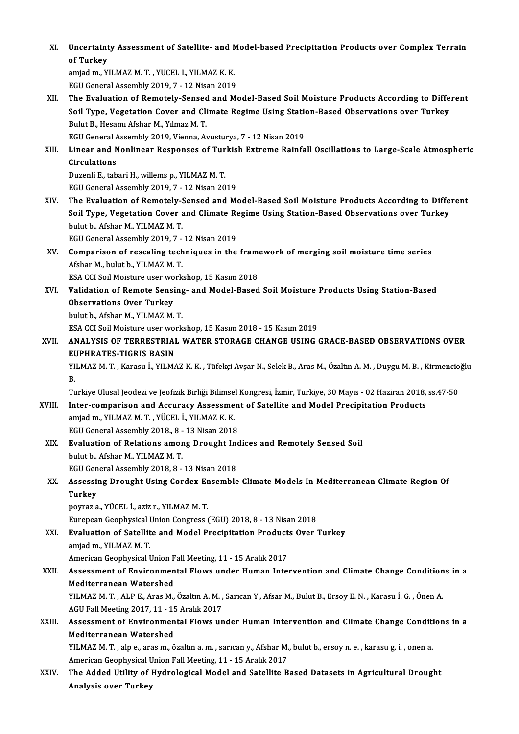XI. Uncertainty Assessment of Satellite- and Model-based Precipitation Products over Complex Terrain<br>Af Turkey Uncertaint<br>of Turkey<br>amiad m. V

of Turkey<br>amjad m., YILMAZ M. T. , YÜCEL İ., YILMAZ K. K. EGU General Assembly 2019, 7 - 12 Nisan 2019

amjad m., YILMAZ M. T. , YÜCEL İ., YILMAZ K. K.<br>EGU General Assembly 2019, 7 - 12 Nisan 2019<br>XII. The Evaluation of Remotely-Sensed and Model-Based Soil Moisture Products According to Different<br>Soil Tyne, Vegetation Co EGU General Assembly 2019, 7 - 12 Nisan 2019<br>The Evaluation of Remotely-Sensed and Model-Based Soil Moisture Products According to Diffe<br>Soil Type, Vegetation Cover and Climate Regime Using Station-Based Observations over The Evaluation of Remotely-Sensed<br>Soil Type, Vegetation Cover and Cli<br>Bulut B., Hesamı Afshar M., Yılmaz M. T.<br>ECU Coneral Assembly 2019, Vienna, Ar Soil Type, Vegetation Cover and Climate Regime Using Station-Based Observations over Turkey<br>Bulut B., Hesamı Afshar M., Yılmaz M. T.<br>EGU General Assembly 2019, Vienna, Avusturya, 7 - 12 Nisan 2019

Bulut B., Hesamı Afshar M., Yılmaz M. T.<br>EGU General Assembly 2019, Vienna, Avusturya, 7 - 12 Nisan 2019<br>XIII. Linear and Nonlinear Responses of Turkish Extreme Rainfall Oscillations to Large-Scale Atmospheric<br>Circulat EGU General A<br>Linear and N<br>Circulations<br>Duzenli E. tab Linear and Nonlinear Responses of Tur<br>Circulations<br>Duzenli E., tabari H., willems p., YILMAZ M. T.<br>ECU Canaral Assembly 2019, 7, 12 Nisan 20

Circulations<br>Duzenli E., tabari H., willems p., YILMAZ M. T.<br>EGU General Assembly 2019, 7 - 12 Nisan 2019

XIV. The Evaluation of Remotely-Sensed and Model-Based SoilMoisture Products According to Different EGU General Assembly 2019, 7 - 12 Nisan 2019<br>The Evaluation of Remotely-Sensed and Model-Based Soil Moisture Products According to Diffe<br>Soil Type, Vegetation Cover and Climate Regime Using Station-Based Observations over The Evaluation of Remotely-9<br>Soil Type, Vegetation Cover<br>bulut b., Afshar M., YILMAZ M. T.<br>FCU Coneral Assembly 2010-7 Soil Type, Vegetation Cover and Climate Re<br>bulut b., Afshar M., YILMAZ M. T.<br>EGU General Assembly 2019, 7 - 12 Nisan 2019<br>Comparison of reeseling techniques in the

# bulut b., Afshar M., YILMAZ M. T.<br>EGU General Assembly 2019, 7 - 12 Nisan 2019<br>XV. Comparison of rescaling techniques in the framework of merging soil moisture time series<br>Afshan M. bulut b. XII MAZ M. T. EGU General Assembly 2019, 7 -<br>Comparison of rescaling tech<br>Afshar M., bulut b., YILMAZ M. T.<br>ESA CCL Sail Maisture user wealt Comparison of rescaling techniques in the frame<br>Afshar M., bulut b., YILMAZ M. T.<br>ESA CCI Soil Moisture user workshop, 15 Kasım 2018<br>Validation of Bamata Sansing, and Madal Basad

Afshar M., bulut b., YILMAZ M. T.<br>ESA CCI Soil Moisture user workshop, 15 Kasım 2018<br>XVI. Validation of Remote Sensing- and Model-Based Soil Moisture Products Using Station-Based<br>Observations Over Turkey ESA CCI Soil Moisture user wo<br>Validation of Remote Sensi<br>Observations Over Turkey<br>bulut b. Afsbar M. XII MAZ M. **Validation of Remote Sensing<br>Observations Over Turkey<br>bulut b., Afshar M., YILMAZ M.T.**<br>ESA CCLSail Maisture user work Observations Over Turkey<br>bulut b., Afshar M., YILMAZ M. T.<br>ESA CCI Soil Moisture user workshop, 15 Kasım 2018 - 15 Kasım 2019

XVII. ANALYSIS OF TERRESTRIAL WATER STORAGE CHANGE USING GRACE-BASED OBSERVATIONS OVER EUPHRATES-TIGRIS BASIN ANALYSIS OF TERRESTRIAL WATER STORAGE CHANGE USING GRACE-BASED OBSERVATIONS OVER<br>EUPHRATES-TIGRIS BASIN<br>YILMAZ M. T. , Karasu İ., YILMAZ K. K. , Tüfekçi Avşar N., Selek B., Aras M., Özaltın A. M. , Duygu M. B. , Kirmencioğ

EL<br>YI<br>B. YILMAZ M. T. , Karasu İ., YILMAZ K. K. , Tüfekçi Avşar N., Selek B., Aras M., Özaltın A. M. , Duygu M. B. , Kirmencio<br>B.<br>Türkiye Ulusal Jeodezi ve Jeofizik Birliği Bilimsel Kongresi, İzmir, Türkiye, 30 Mayıs - 02 Haziran 2

- B.<br>Türkiye Ulusal Jeodezi ve Jeofizik Birliği Bilimsel Kongresi, İzmir, Türkiye, 30 Mayıs 02 Haziran 2018,<br>XVIII. Inter-comparison and Accuracy Assessment of Satellite and Model Precipitation Products<br>Amied m. XII MA Türkiye Ulusal Jeodezi ve Jeofizik Birliği Bilimse<br>Inter-comparison and Accuracy Assessme<br>amjad m., YILMAZ M. T. , YÜCEL İ., YILMAZ K. K.<br>ECU Canaral Assembly 2019 - 8 - 12 Nisan 2019 Inter-comparison and Accuracy Assessmen<br>amjad m., YILMAZ M. T. , YÜCEL İ., YILMAZ K. K.<br>EGU General Assembly 2018., 8 - 13 Nisan 2018<br>Evaluation of Balations amang Draught Ind amjad m., YILMAZ M. T. , YÜCEL İ., YILMAZ K. K.<br>EGU General Assembly 2018., 8 - 13 Nisan 2018<br>XIX. Evaluation of Relations among Drought Indices and Remotely Sensed Soil<br>bylyth Afchan M, YUMAZ M, T.
- EGU General Assembly 2018., 8 -<br>**Evaluation of Relations amor**<br>bulut b., Afshar M., YILMAZ M. T.<br>FCU Ceneral Assembly 2018. 8 Evaluation of Relations among Drought Incolution, Afshar M., YILMAZ M. T.<br>EGU General Assembly 2018, 8 - 13 Nisan 2018<br>Assessing Drought Heing Cordoy Ensemble bulut b., Afshar M., YILMAZ M. T.<br>EGU General Assembly 2018, 8 - 13 Nisan 2018<br>XX. Assessing Drought Using Cordex Ensemble Climate Models In Mediterranean Climate Region Of<br>Turkey

# EGU Gen<br>Assessi<br>Turkey<br>novrez c Assessing Drought Using Cordex Er<br>Turkey<br>poyraz a., YÜCEL İ., aziz r., YILMAZ M. T.<br>European Coophysical Union Congress ( Turkey<br>poyraz a., YÜCEL İ., aziz r., YILMAZ M. T.<br>Eurepean Geophysical Union Congress (EGU) 2018, 8 - 13 Nisan 2018<br>Evaluation of Satallite and Model Precipitation Preducts Over

poyraz a., YÜCEL İ., aziz r., YILMAZ M. T.<br>Eurepean Geophysical Union Congress (EGU) 2018, 8 - 13 Nisan 2018<br>XXI. Evaluation of Satellite and Model Precipitation Products Over Turkey<br>amjad m., YILMAZ M. T. Eurepean Geophysical I<br>**Evaluation of Satellit**<br>amjad m., YILMAZ M. T.<br>American Ceophysical I Evaluation of Satellite and Model Precipitation Product<br>amjad m., YILMAZ M. T.<br>American Geophysical Union Fall Meeting, 11 - 15 Aralık 2017<br>Assessment of Environmental Elews under Human Intel

### amjad m., YILMAZ M. T.<br>American Geophysical Union Fall Meeting, 11 - 15 Aralık 2017<br>XXII. Assessment of Environmental Flows under Human Intervention and Climate Change Conditions in a<br>Mediterranean Wetershed American Geophysical Union F<br>Assessment of Environmen<br>Mediterranean Watershed<br>VU MAZ M T - ALB E - Aree M Assessment of Environmental Flows under Human Intervention and Climate Change Condition<br>Mediterranean Watershed<br>YILMAZ M.T., ALP E., Aras M., Özaltın A. M. , Sarıcan Y., Afsar M., Bulut B., Ersoy E. N. , Karasu İ. G. , Öne Mediterranean Watershed<br>YILMAZ M. T. , ALP E., Aras M., Özaltın A. M. , Sarıcan Y., Afsar M., Bulut B., Ersoy E. N. , Karasu İ. G. , Önen A.

AGU Fall Meeting 2017, 11 - 15 Aralık 2017

# XXIII. Assessment of Environmental Flows under Human Intervention and Climate Change Conditions in a<br>Mediterranean Watershed Assessment of Environmental Flows under Human Intervention and Climate Change Conditi<br>Mediterranean Watershed<br>YILMAZ M.T., alp e., aras m., özaltın a. m., sarıcan y., Afshar M., bulut b., ersoy n. e. , karasu g. i. , onen

Mediterranean Watershed<br>YILMAZ M. T. , alp e., aras m., özaltın a. m. , sarıcan y., Afshar M.<br>American Geophysical Union Fall Meeting, 11 - 15 Aralık 2017<br>The Added Utility of Hydnologiaal Medel and Satellite B YILMAZ M. T. , alp e., aras m., özaltın a. m. , sarıcan y., Afshar M., bulut b., ersoy n. e. , karasu g. i. , onen a.<br>American Geophysical Union Fall Meeting, 11 - 15 Aralık 2017<br>XXIV. The Added Utility of Hydrological Mod

American Geophysical U<br>The Added Utility of J<br>Analysis over Turkey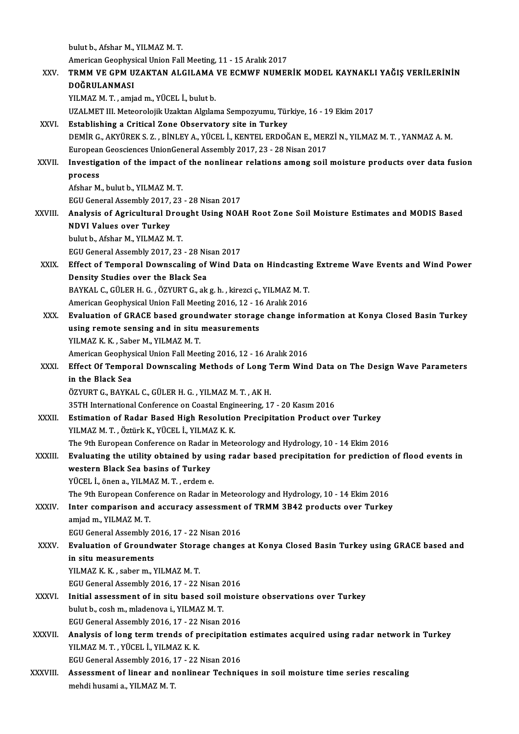bulut b., Afshar M., YILMAZ M.T. American Geophysical Union Fall Meeting, 11 - 15 Aralık 2017 bulut b., Afshar M., YILMAZ M. T.<br>American Geophysical Union Fall Meeting, 11 - 15 Aralık 2017<br>XXV. TRMM VE GPM UZAKTAN ALGILAMA VE ECMWF NUMERİK MODEL KAYNAKLI YAĞIŞ VERİLERİNİN<br>ROĞPULANMASI American Geophys<br>TRMM VE GPM U<br>DOĞRULANMASI<br><sup>VII MAZ M.T</sup>. əmi TRMM VE GPM UZAKTAN ALGILAMA<br>DOĞRULANMASI<br>YILMAZ M. T. , amjad m., YÜCEL İ., bulut b.<br>UZALMET IIL Meteorolojik Uzaktan Almlan DOĞRULANMASI<br>YILMAZ M. T. , amjad m., YÜCEL İ., bulut b.<br>UZALMET III. Meteorolojik Uzaktan Algılama Sempozyumu, Türkiye, 16 - 19 Ekim 2017 XXVI. Establishing a Critical Zone Observatory site in Turkey UZALMET III. Meteorolojik Uzaktan Algılama Sempozyumu, Türkiye, 16 - 19 Ekim 2017<br>Establishing a Critical Zone Observatory site in Turkey<br>DEMİR G., AKYÜREK S. Z. , BİNLEY A., YÜCEL İ., KENTEL ERDOĞAN E., MERZİ N., YILMAZ M Establishing a Critical Zone Observatory site in Turkey<br>DEMİR G., AKYÜREK S. Z. , BİNLEY A., YÜCEL İ., KENTEL ERDOĞAN E., MER<br>European Geosciences UnionGeneral Assembly 2017, 23 - 28 Nisan 2017<br>Investigation of the impact DEMIR G., AKYÜREK S. Z. , BINLEY A., YÜCEL I., KENTEL ERDOĞAN E., MERZI N., YILMAZ M. T. , YANMAZ A. M.<br>European Geosciences UnionGeneral Assembly 2017, 23 - 28 Nisan 2017<br>XXVII. Investigation of the impact of the nonlinea Europear<br>Investige<br>process<br>Afsbar M Investigation of the impact of<br>process<br>Afshar M., bulut b., YILMAZ M. T.<br>ECU Conoral Assembly 2017-22 process<br>Afshar M., bulut b., YILMAZ M. T.<br>EGU General Assembly 2017, 23 - 28 Nisan 2017 Afshar M., bulut b., YILMAZ M. T.<br>EGU General Assembly 2017, 23 - 28 Nisan 2017<br>XXVIII. Analysis of Agricultural Drought Using NOAH Root Zone Soil Moisture Estimates and MODIS Based<br>NDVI Velues ever Turkey EGU General Assembly 2017,<br>Analysis of Agricultural D<br>NDVI Values over Turkey Analysis of Agricultural Drou<br>NDVI Values over Turkey<br>bulut b., Afshar M., YILMAZ M. T.<br>ECU Conoral Assembly 2017-22 NDVI Values over Turkey<br>bulut b., Afshar M., YILMAZ M. T.<br>EGU General Assembly 2017, 23 - 28 Nisan 2017<br>Effect of Temporal Downespling of Wind De bulut b., Afshar M., YILMAZ M. T.<br>EGU General Assembly 2017, 23 - 28 Nisan 2017<br>XXIX. Effect of Temporal Downscaling of Wind Data on Hindcasting Extreme Wave Events and Wind Power<br>Density Studies over the Black Sea EGU General Assembly 2017, 23 - 28 Ni:<br>Effect of Temporal Downscaling of<br>Density Studies over the Black Sea Effect of Temporal Downscaling of Wind Data on Hindcasting<br>Density Studies over the Black Sea<br>BAYKAL C., GÜLER H. G. , ÖZYURT G., ak g. h. , kirezci ç., YILMAZ M. T.<br>American Ceenbysical Union Fall Meeting 2016, 12 , 16 Ap Density Studies over the Black Sea<br>BAYKAL C., GÜLER H. G. , ÖZYURT G., ak g. h. , kirezci ç., YILMAZ M. T.<br>American Geophysical Union Fall Meeting 2016, 12 - 16 Aralık 2016<br>Evaluation of CBACE based sroundwater starage sha BAYKAL C., GÜLER H. G. , ÖZYURT G., ak g. h. , kirezci ç., YILMAZ M. T.<br>American Geophysical Union Fall Meeting 2016, 12 - 16 Aralık 2016<br>XXX. Evaluation of GRACE based groundwater storage change information at Konya Close American Geophysical Union Fall Meeting 2016, 12 - 16 Aralık 2016<br>Evaluation of GRACE based groundwater storage change inf<br>using remote sensing and in situ measurements<br>YILMAZ K, K, , Saber M,, YILMAZ M, T, Evaluation of GRACE based grour<br>using remote sensing and in situ<br>YILMAZ K.K., Saber M., YILMAZ M.T.<br>American Coophysical Union Fall Moo American Geophysical Union Fall Meeting 2016, 12 - 16 Aralık 2016 YILMAZ K. K. , Saber M., YILMAZ M. T.<br>American Geophysical Union Fall Meeting 2016, 12 - 16 Aralık 2016<br>XXXI. Bffect Of Temporal Downscaling Methods of Long Term Wind Data on The Design Wave Parameters<br>in the Blask See American Geophys<br>Effect Of Tempol<br>in the Black Sea<br>ÖZVUPT C. RAVKA Effect Of Temporal Downscaling Methods of Long 1<br>in the Black Sea<br>ÖZYURT G., BAYKAL C., GÜLER H. G. , YILMAZ M. T. , AK H.<br>25TH International Conference on Coastal Engineering 17 in the Black Sea<br>ÖZYURT G., BAYKAL C., GÜLER H. G. , YILMAZ M. T. , AK H.<br>35TH International Conference on Coastal Engineering, 17 - 20 Kasım 2016<br>Estimation of Badar Based High Besolution Proginitation Product e ÖZYURT G., BAYKAL C., GÜLER H. G. , YILMAZ M. T. , AK H.<br>35TH International Conference on Coastal Engineering, 17 - 20 Kasım 2016<br>XXXII. Estimation of Radar Based High Resolution Precipitation Product over Turkey<br>YILMAZ M. 35TH International Conference on Coastal Enging<br>Estimation of Radar Based High Resolutio<br>YILMAZ M.T., Öztürk K., YÜCEL İ., YILMAZ K.K.<br>The Oth European Conference on Badar in Meta Estimation of Radar Based High Resolution Precipitation Product over Turkey<br>YILMAZ M. T. , Öztürk K., YÜCEL İ., YILMAZ K. K.<br>The 9th European Conference on Radar in Meteorology and Hydrology, 10 - 14 Ekim 2016<br>Evaluating t YILMAZ M. T. , Öztürk K., YÜCEL İ., YILMAZ K. K.<br>The 9th European Conference on Radar in Meteorology and Hydrology, 10 - 14 Ekim 2016<br>XXXIII. Evaluating the utility obtained by using radar based precipitation for predictio The 9th European Conference on Radar<br>Evaluating the utility obtained by us<br>western Black Sea basins of Turkey<br>VÜCEL LÄRAR A VUMAZM Turkey Evaluating the utility obtained by usi<br>western Black Sea basins of Turkey<br>YÜCEL İ., önen a., YILMAZM.T. , erdeme.<br>The <sup>Oth Euronean Conference on Boden i</sup> western Black Sea basins of Turkey<br>TÜCEL İ., önen a., YILMAZ M. T. , erdem e.<br>The 9th European Conference on Radar in Meteorology and Hydrology, 10 - 14 Ekim 2016 YÜCEL İ., önen a., YILMAZ M. T. , erdem e.<br>The 9th European Conference on Radar in Meteorology and Hydrology, 10 - 14 Ekim 2016<br>XXXIV. Inter comparison and accuracy assessment of TRMM 3B42 products over Turkey<br>amied m. XII amjad m., YILMAZ M. T. Inter comparison and accuracy assessment<br>amjad m., YILMAZ M. T.<br>EGU General Assembly 2016, 17 - 22 Nisan 2016<br>Evaluation of Croundwater Sterage shanges amjad m., YILMAZ M. T.<br>EGU General Assembly 2016, 17 - 22 Nisan 2016<br>XXXV. Evaluation of Groundwater Storage changes at Konya Closed Basin Turkey using GRACE based and<br>in situ measurements EGU General Assembly 2016, 17 - 22 Nisan 2016<br>Evaluation of Groundwater Storage change<br>in situ measurements<br>YILMAZ K. K., saber m., YILMAZ M. T. Evaluation of Groundwater Stora<br>in situ measurements<br>YILMAZ K. K. , saber m., YILMAZ M. T.<br>FCU Canaral Assembly 2016, 17, 22. in situ measurements<br>YILMAZ K. K. , saber m., YILMAZ M. T.<br>EGU General Assembly 2016, 17 - 22 Nisan 2016<br>Initial assessment of in situ based seil mois

- XXXVI. Initial assessment of in situ based soil moisture observations over Turkey<br>bulut b., cosh m., mladenova i., YILMAZ M, T. EGU General Assembly 2016, 17 - 22 Nisan 2<br>Initial assessment of in situ based soil<br>bulut b., cosh m., mladenova i., YILMAZ M. T.<br>ECU Conoral Assembly 2016, 17 - 22 Nisan 3 Initial assessment of in situ based soil mois<br>bulut b., cosh m., mladenova i., YILMAZ M. T.<br>EGU General Assembly 2016, 17 - 22 Nisan 2016<br>Analysis of lang term trands of presipitation bulut b., cosh m., mladenova i., YILMAZ M. T.<br>EGU General Assembly 2016, 17 - 22 Nisan 2016<br>XXXVII. Analysis of long term trends of precipitation estimates acquired using radar network in Turkey<br>XII MAZ M.T. VÜCEL İ. VII M
- EGU General Assembly 2016, 17 22<br>**Analysis of long term trends of p**<br>YILMAZ M. T. , YÜCEL İ., YILMAZ K. K.<br>FCU Canaral Assembly 2016, 17 22 Analysis of long term trends of precipitation<br>2012 YILMAZ M. T. , YÜCEL İ., YILMAZ K. K.<br>EGU General Assembly 2016, 17 - 22 Nisan 2016<br>Assessment of linear and nonlinear Technis YILMAZ M. T. , YÜCEL İ., YILMAZ K. K.<br>EGU General Assembly 2016, 17 - 22 Nisan 2016<br>XXXVIII. Assessment of linear and nonlinear Techniques in soil moisture time series rescaling<br>mobdi bysami a YUMAZM T
- EGU General Assembly 2016, 1<br><mark>Assessment of linear and n</mark><br>mehdi husami a., YILMAZ M. T.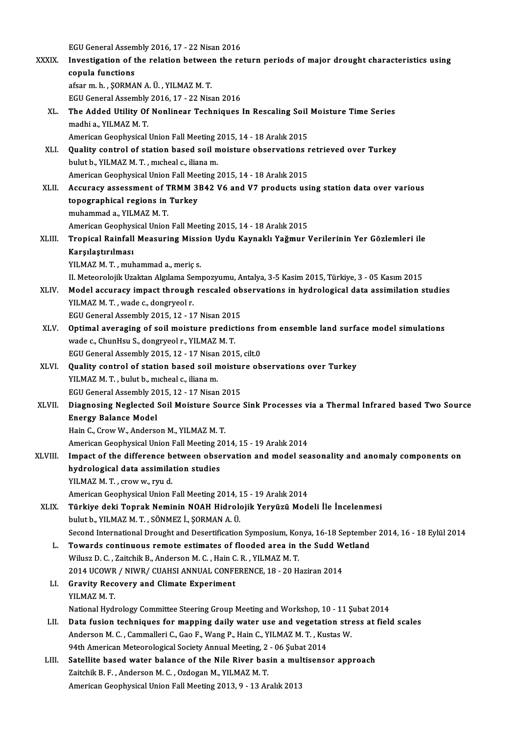egua<br>EGU General Assembly 2016, 17 - 22 Nisan 2016<br>Investigation of the relation between the re

|              | EGU General Assembly 2016, 17 - 22 Nisan 2016                                                               |
|--------------|-------------------------------------------------------------------------------------------------------------|
| <b>XXXIX</b> | Investigation of the relation between the return periods of major drought characteristics using             |
|              | copula functions                                                                                            |
|              | afsar m. h., ŞORMAN A. Ü., YILMAZ M. T.                                                                     |
|              | EGU General Assembly 2016, 17 - 22 Nisan 2016                                                               |
| XL.          | The Added Utility Of Nonlinear Techniques In Rescaling Soil Moisture Time Series                            |
|              | madhi a , YILMAZ M.T.                                                                                       |
|              | American Geophysical Union Fall Meeting 2015, 14 - 18 Aralık 2015                                           |
| XLI.         | Quality control of station based soil moisture observations retrieved over Turkey                           |
|              | bulut b., YILMAZ M. T., micheal c., iliana m.                                                               |
|              | American Geophysical Union Fall Meeting 2015, 14 - 18 Aralık 2015                                           |
| XLII.        | Accuracy assessment of TRMM 3B42 V6 and V7 products using station data over various                         |
|              | topographical regions in Turkey                                                                             |
|              | muhammad a , YILMAZ M. T.                                                                                   |
|              | American Geophysical Union Fall Meeting 2015, 14 - 18 Aralık 2015                                           |
| XLIII.       | Tropical Rainfall Measuring Mission Uydu Kaynaklı Yağmur Verilerinin Yer Gözlemleri ile                     |
|              | Karşılaştırılması                                                                                           |
|              | YILMAZ M.T., muhammad a., meriç s.                                                                          |
|              | II. Meteorolojik Uzaktan Algılama Sempozyumu, Antalya, 3-5 Kasim 2015, Türkiye, 3 - 05 Kasım 2015           |
| XLIV.        | Model accuracy impact through rescaled observations in hydrological data assimilation studies               |
|              | YILMAZ M.T., wade c., dongryeol r.                                                                          |
|              | EGU General Assembly 2015, 12 - 17 Nisan 2015                                                               |
| XLV.         | Optimal averaging of soil moisture predictions from ensemble land surface model simulations                 |
|              | wade c., ChunHsu S., dongryeol r., YILMAZ M.T.                                                              |
|              | EGU General Assembly 2015, 12 - 17 Nisan 2015, cilt.0                                                       |
| XLVI.        | Quality control of station based soil moisture observations over Turkey                                     |
|              | YILMAZ M. T., bulut b., micheal c., iliana m.                                                               |
|              | EGU General Assembly 2015, 12 - 17 Nisan 2015                                                               |
| XLVII.       | Diagnosing Neglected Soil Moisture Source Sink Processes via a Thermal Infrared based Two Source            |
|              | <b>Energy Balance Model</b>                                                                                 |
|              | Hain C., Crow W., Anderson M., YILMAZ M. T.                                                                 |
|              | American Geophysical Union Fall Meeting 2014, 15 - 19 Aralık 2014                                           |
| XLVIII.      | Impact of the difference between observation and model seasonality and anomaly components on                |
|              | hydrological data assimilation studies                                                                      |
|              | YILMAZ M.T., crow w., ryu d.                                                                                |
|              | American Geophysical Union Fall Meeting 2014, 15 - 19 Aralık 2014                                           |
| XLIX.        | Türkiye deki Toprak Neminin NOAH Hidrolojik Yeryüzü Modeli İle İncelenmesi                                  |
|              | bulut b., YILMAZ M. T., SÖNMEZ İ., ŞORMAN A. Ü.                                                             |
|              | Second International Drought and Desertification Symposium, Konya, 16-18 September 2014, 16 - 18 Eylül 2014 |
| L.           | Towards continuous remote estimates of flooded area in the Sudd Wetland                                     |
|              | Wilusz D. C., Zaitchik B., Anderson M. C., Hain C. R., YILMAZ M. T.                                         |
|              | 2014 UCOWR / NIWR/ CUAHSI ANNUAL CONFERENCE, 18 - 20 Haziran 2014                                           |
| LI.          | <b>Gravity Recovery and Climate Experiment</b>                                                              |
|              | YILMAZ M T                                                                                                  |
|              | National Hydrology Committee Steering Group Meeting and Workshop, 10 - 11 Şubat 2014                        |
| LII.         | Data fusion techniques for mapping daily water use and vegetation stress at field scales                    |
|              | Anderson M. C., Cammalleri C., Gao F., Wang P., Hain C., YILMAZ M. T., Kustas W.                            |
|              | 94th American Meteorological Society Annual Meeting, 2 - 06 Şubat 2014                                      |
| LIII.        | Satellite based water balance of the Nile River basin a multisensor approach                                |
|              | Zaitchik B. F., Anderson M. C., Ozdogan M., YILMAZ M. T.                                                    |
|              | American Geophysical Union Fall Meeting 2013, 9 - 13 Aralık 2013                                            |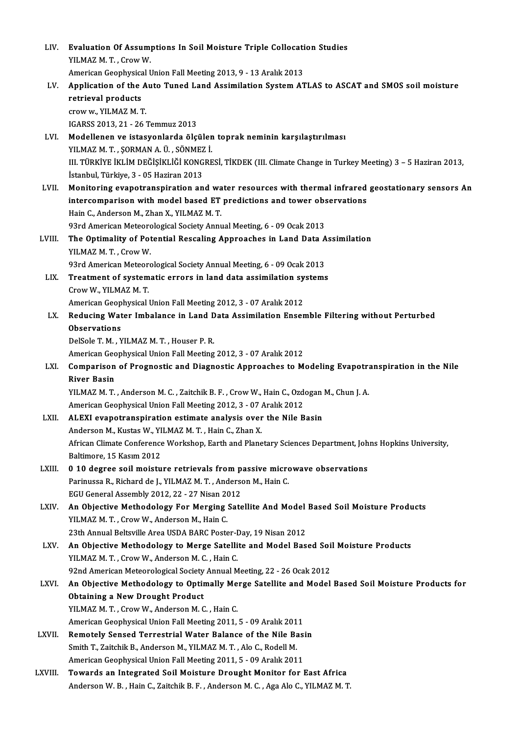| LIV.    | Evaluation Of Assumptions In Soil Moisture Triple Collocation Studies                                       |
|---------|-------------------------------------------------------------------------------------------------------------|
|         | YILMAZ M. T., Crow W.                                                                                       |
|         | American Geophysical Union Fall Meeting 2013, 9 - 13 Aralık 2013                                            |
| LV.     | Application of the Auto Tuned Land Assimilation System ATLAS to ASCAT and SMOS soil moisture                |
|         | retrieval products                                                                                          |
|         | crow w., YILMAZ M.T.                                                                                        |
|         | IGARSS 2013, 21 - 26 Temmuz 2013                                                                            |
| LVI.    | Modellenen ve istasyonlarda ölçülen toprak neminin karşılaştırılması                                        |
|         | YILMAZ M.T., ŞORMAN A. Ü., SÖNMEZ İ.                                                                        |
|         | III. TÜRKİYE İKLİM DEĞİŞİKLİĞİ KONGRESİ, TİKDEK (III. Climate Change in Turkey Meeting) 3 – 5 Haziran 2013, |
|         | İstanbul, Türkiye, 3 - 05 Haziran 2013                                                                      |
| LVII.   | Monitoring evapotranspiration and water resources with thermal infrared geostationary sensors An            |
|         | intercomparison with model based ET predictions and tower observations                                      |
|         | Hain C., Anderson M., Zhan X., YILMAZ M.T.                                                                  |
|         | 93rd American Meteorological Society Annual Meeting, 6 - 09 Ocak 2013                                       |
| LVIII.  | The Optimality of Potential Rescaling Approaches in Land Data Assimilation<br>YILMAZ M. T., Crow W.         |
|         | 93rd American Meteorological Society Annual Meeting, 6 - 09 Ocak 2013                                       |
| LIX.    | Treatment of systematic errors in land data assimilation systems                                            |
|         | Crow W, YILMAZ M.T.                                                                                         |
|         | American Geophysical Union Fall Meeting 2012, 3 - 07 Aralık 2012                                            |
| LX.     | Reducing Water Imbalance in Land Data Assimilation Ensemble Filtering without Perturbed                     |
|         | <b>Observations</b>                                                                                         |
|         | DelSole T. M., YILMAZ M. T., Houser P. R.                                                                   |
|         | American Geophysical Union Fall Meeting 2012, 3 - 07 Aralık 2012                                            |
| LXI.    | Comparison of Prognostic and Diagnostic Approaches to Modeling Evapotranspiration in the Nile               |
|         | <b>River Basin</b>                                                                                          |
|         | YILMAZ M. T., Anderson M. C., Zaitchik B. F., Crow W., Hain C., Ozdogan M., Chun J. A.                      |
|         | American Geophysical Union Fall Meeting 2012, 3 - 07 Aralık 2012                                            |
| LXII.   | ALEXI evapotranspiration estimate analysis over the Nile Basin                                              |
|         | Anderson M., Kustas W., YILMAZ M. T., Hain C., Zhan X.                                                      |
|         | African Climate Conference Workshop, Earth and Planetary Sciences Department, Johns Hopkins University,     |
| LXIII.  | Baltimore, 15 Kasım 2012<br>0 10 degree soil moisture retrievals from passive microwave observations        |
|         | Parinussa R., Richard de J., YILMAZ M. T., Anderson M., Hain C.                                             |
|         | EGU General Assembly 2012, 22 - 27 Nisan 2012                                                               |
| LXIV.   | An Objective Methodology For Merging Satellite And Model Based Soil Moisture Products                       |
|         | YILMAZ M.T., Crow W., Anderson M., Hain C.                                                                  |
|         | 23th Annual Beltsville Area USDA BARC Poster-Day, 19 Nisan 2012                                             |
| LXV.    | An Objective Methodology to Merge Satellite and Model Based Soil Moisture Products                          |
|         | YILMAZ M.T., Crow W., Anderson M.C., Hain C.                                                                |
|         | 92nd American Meteorological Society Annual Meeting, 22 - 26 Ocak 2012                                      |
| LXVI.   | An Objective Methodology to Optimally Merge Satellite and Model Based Soil Moisture Products for            |
|         | <b>Obtaining a New Drought Product</b>                                                                      |
|         | YILMAZ M.T., Crow W., Anderson M.C., Hain C.                                                                |
|         | American Geophysical Union Fall Meeting 2011, 5 - 09 Aralık 2011                                            |
| LXVII.  | Remotely Sensed Terrestrial Water Balance of the Nile Basin                                                 |
|         | Smith T., Zaitchik B., Anderson M., YILMAZ M. T., Alo C., Rodell M.                                         |
|         | American Geophysical Union Fall Meeting 2011, 5 - 09 Aralık 2011                                            |
| LXVIII. | Towards an Integrated Soil Moisture Drought Monitor for East Africa                                         |
|         | Anderson W. B., Hain C., Zaitchik B. F., Anderson M. C., Aga Alo C., YILMAZ M. T.                           |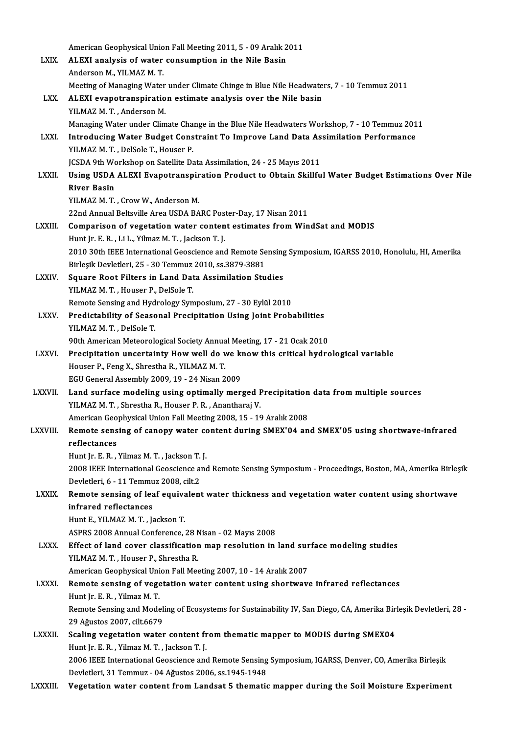|                | American Geophysical Union Fall Meeting 2011, 5 - 09 Aralık 2011                                                                                               |
|----------------|----------------------------------------------------------------------------------------------------------------------------------------------------------------|
| <b>LXIX</b>    | ALEXI analysis of water consumption in the Nile Basin                                                                                                          |
|                | Anderson M., YILMAZ M. T.                                                                                                                                      |
|                | Meeting of Managing Water under Climate Chinge in Blue Nile Headwaters, 7 - 10 Temmuz 2011                                                                     |
| LXX.           | ALEXI evapotranspiration estimate analysis over the Nile basin                                                                                                 |
|                | YILMAZ M.T., Anderson M.                                                                                                                                       |
|                | Managing Water under Climate Change in the Blue Nile Headwaters Workshop, 7 - 10 Temmuz 2011                                                                   |
| LXXI.          | Introducing Water Budget Constraint To Improve Land Data Assimilation Performance                                                                              |
|                | YILMAZ M.T., DelSole T., Houser P.                                                                                                                             |
|                | JCSDA 9th Workshop on Satellite Data Assimilation, 24 - 25 Mayıs 2011                                                                                          |
| <b>LXXII</b>   | Using USDA ALEXI Evapotranspiration Product to Obtain Skillful Water Budget Estimations Over Nile                                                              |
|                | <b>River Basin</b>                                                                                                                                             |
|                | YILMAZ M. T., Crow W., Anderson M.                                                                                                                             |
|                | 22nd Annual Beltsville Area USDA BARC Poster-Day, 17 Nisan 2011                                                                                                |
| LXXIII.        | Comparison of vegetation water content estimates from WindSat and MODIS                                                                                        |
|                | Hunt Jr. E. R., Li L., Yilmaz M. T., Jackson T. J.                                                                                                             |
|                | 2010 30th IEEE International Geoscience and Remote Sensing Symposium, IGARSS 2010, Honolulu, HI, Amerika                                                       |
|                | Birleşik Devletleri, 25 - 30 Temmuz 2010, ss.3879-3881                                                                                                         |
| <b>LXXIV</b>   | Square Root Filters in Land Data Assimilation Studies                                                                                                          |
|                | YILMAZ M.T., Houser P., DelSole T.                                                                                                                             |
|                | Remote Sensing and Hydrology Symposium, 27 - 30 Eylül 2010                                                                                                     |
| LXXV.          | Predictability of Seasonal Precipitation Using Joint Probabilities                                                                                             |
|                | YILMAZ M.T., DelSole T.                                                                                                                                        |
|                | 90th American Meteorological Society Annual Meeting, 17 - 21 Ocak 2010                                                                                         |
| <b>LXXVI</b>   | Precipitation uncertainty How well do we know this critical hydrological variable                                                                              |
|                | Houser P., Feng X., Shrestha R., YILMAZ M.T.                                                                                                                   |
|                | EGU General Assembly 2009, 19 - 24 Nisan 2009                                                                                                                  |
| <b>LXXVII</b>  | Land surface modeling using optimally merged Precipitation data from multiple sources                                                                          |
|                | YILMAZ M. T., Shrestha R., Houser P. R., Anantharaj V.                                                                                                         |
|                | American Geophysical Union Fall Meeting 2008, 15 - 19 Aralık 2008                                                                                              |
| <b>LXXVIII</b> | Remote sensing of canopy water content during SMEX'04 and SMEX'05 using shortwave-infrared                                                                     |
|                | reflectances                                                                                                                                                   |
|                | Hunt Jr. E. R., Yilmaz M. T., Jackson T. J.                                                                                                                    |
|                | 2008 IEEE International Geoscience and Remote Sensing Symposium - Proceedings, Boston, MA, Amerika Birleşik                                                    |
|                | Devletleri, 6 - 11 Temmuz 2008, cilt.2                                                                                                                         |
| LXXIX.         | Remote sensing of leaf equivalent water thickness and vegetation water content using shortwave                                                                 |
|                | infrared reflectances                                                                                                                                          |
|                | Hunt E., YILMAZ M. T., Jackson T.                                                                                                                              |
|                | ASPRS 2008 Annual Conference, 28 Nisan - 02 Mayıs 2008                                                                                                         |
| <b>LXXX</b>    | Effect of land cover classification map resolution in land surface modeling studies                                                                            |
|                | YILMAZ M.T., Houser P., Shrestha R.                                                                                                                            |
|                | American Geophysical Union Fall Meeting 2007, 10 - 14 Aralık 2007                                                                                              |
| <b>LXXXI</b>   | Remote sensing of vegetation water content using shortwave infrared reflectances                                                                               |
|                | Hunt Jr. E. R., Yilmaz M. T.                                                                                                                                   |
|                | Remote Sensing and Modeling of Ecosystems for Sustainability IV, San Diego, CA, Amerika Birleşik Devletleri, 28 -                                              |
|                | 29 Ağustos 2007, cilt.6679                                                                                                                                     |
| LXXXII.        | Scaling vegetation water content from thematic mapper to MODIS during SMEX04                                                                                   |
|                | Hunt Jr. E. R., Yilmaz M. T., Jackson T. J.                                                                                                                    |
|                | 2006 IEEE International Geoscience and Remote Sensing Symposium, IGARSS, Denver, CO, Amerika Birleşik<br>Devletleri, 31 Temmuz - 04 Ağustos 2006, ss.1945-1948 |
| LXXXIII.       | Vegetation water content from Landsat 5 thematic mapper during the Soil Moisture Experiment                                                                    |
|                |                                                                                                                                                                |